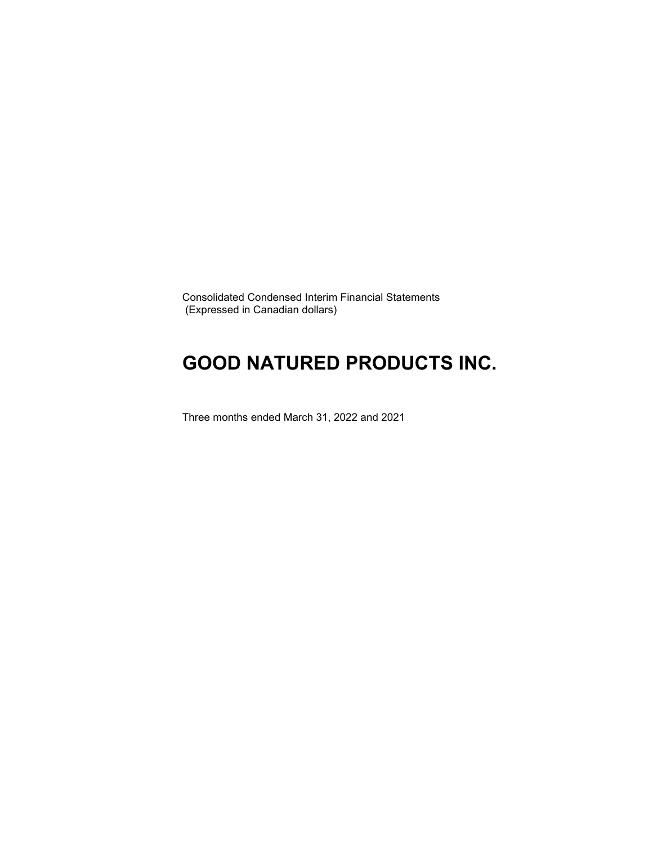Consolidated Condensed Interim Financial Statements (Expressed in Canadian dollars)

### **GOOD NATURED PRODUCTS INC.**

Three months ended March 31, 2022 and 2021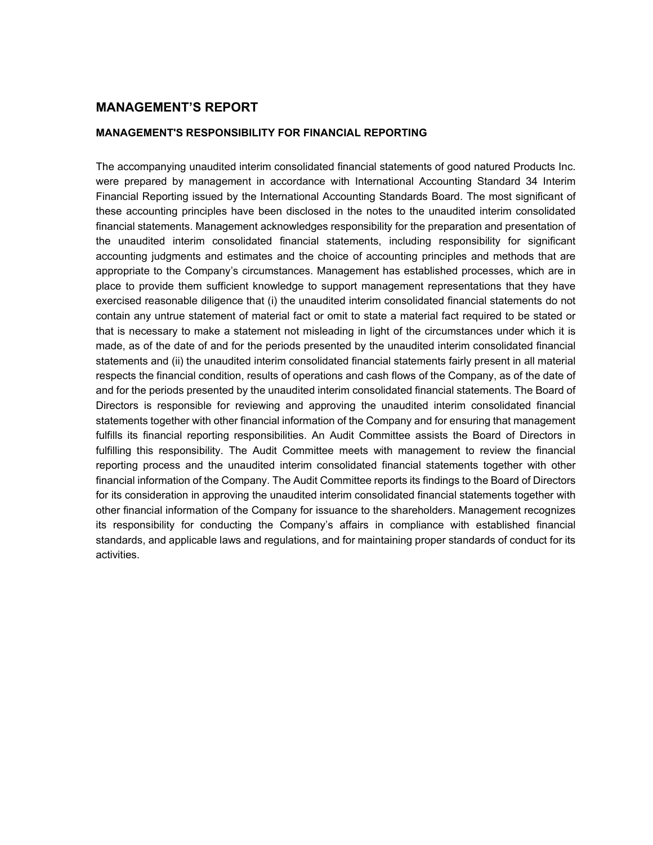### **MANAGEMENT'S REPORT**

#### **MANAGEMENT'S RESPONSIBILITY FOR FINANCIAL REPORTING**

The accompanying unaudited interim consolidated financial statements of good natured Products Inc. were prepared by management in accordance with International Accounting Standard 34 Interim Financial Reporting issued by the International Accounting Standards Board. The most significant of these accounting principles have been disclosed in the notes to the unaudited interim consolidated financial statements. Management acknowledges responsibility for the preparation and presentation of the unaudited interim consolidated financial statements, including responsibility for significant accounting judgments and estimates and the choice of accounting principles and methods that are appropriate to the Company's circumstances. Management has established processes, which are in place to provide them sufficient knowledge to support management representations that they have exercised reasonable diligence that (i) the unaudited interim consolidated financial statements do not contain any untrue statement of material fact or omit to state a material fact required to be stated or that is necessary to make a statement not misleading in light of the circumstances under which it is made, as of the date of and for the periods presented by the unaudited interim consolidated financial statements and (ii) the unaudited interim consolidated financial statements fairly present in all material respects the financial condition, results of operations and cash flows of the Company, as of the date of and for the periods presented by the unaudited interim consolidated financial statements. The Board of Directors is responsible for reviewing and approving the unaudited interim consolidated financial statements together with other financial information of the Company and for ensuring that management fulfills its financial reporting responsibilities. An Audit Committee assists the Board of Directors in fulfilling this responsibility. The Audit Committee meets with management to review the financial reporting process and the unaudited interim consolidated financial statements together with other financial information of the Company. The Audit Committee reports its findings to the Board of Directors for its consideration in approving the unaudited interim consolidated financial statements together with other financial information of the Company for issuance to the shareholders. Management recognizes its responsibility for conducting the Company's affairs in compliance with established financial standards, and applicable laws and regulations, and for maintaining proper standards of conduct for its activities.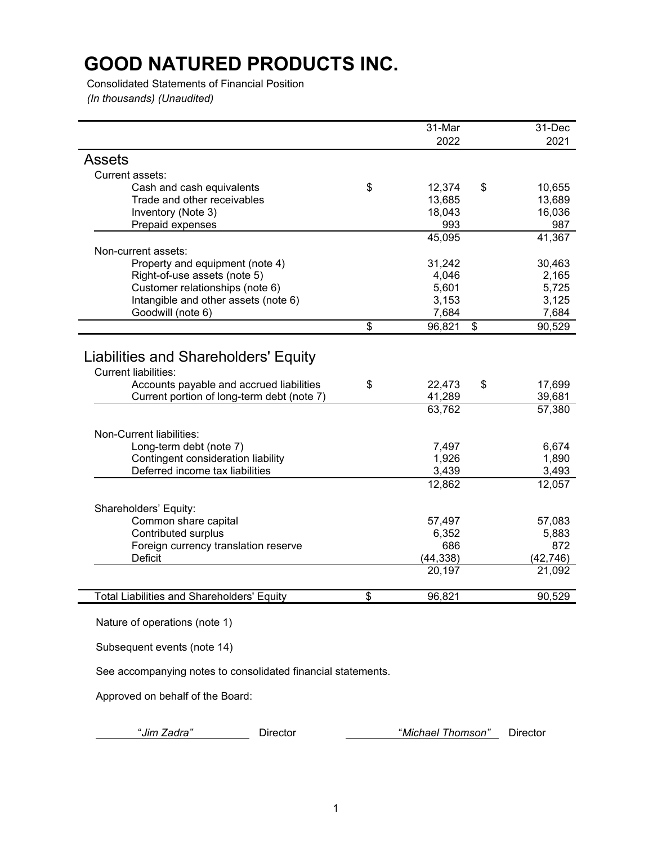Consolidated Statements of Financial Position *(In thousands) (Unaudited)*

|                                                                                                                                                               | 31-Mar                 | 31-Dec                 |
|---------------------------------------------------------------------------------------------------------------------------------------------------------------|------------------------|------------------------|
|                                                                                                                                                               | 2022                   | 2021                   |
| <b>Assets</b>                                                                                                                                                 |                        |                        |
| Current assets:                                                                                                                                               |                        |                        |
| Cash and cash equivalents                                                                                                                                     | \$<br>12,374           | \$<br>10,655           |
| Trade and other receivables                                                                                                                                   | 13,685                 | 13,689                 |
| Inventory (Note 3)                                                                                                                                            | 18,043                 | 16,036                 |
| Prepaid expenses                                                                                                                                              | 993                    | 987                    |
|                                                                                                                                                               | 45,095                 | 41,367                 |
| Non-current assets:                                                                                                                                           |                        |                        |
| Property and equipment (note 4)                                                                                                                               | 31,242                 | 30,463                 |
| Right-of-use assets (note 5)                                                                                                                                  | 4,046                  | 2,165                  |
| Customer relationships (note 6)                                                                                                                               | 5,601                  | 5,725                  |
| Intangible and other assets (note 6)                                                                                                                          | 3,153                  | 3,125                  |
| Goodwill (note 6)                                                                                                                                             | 7,684                  | 7,684                  |
|                                                                                                                                                               | \$<br>96,821           | \$<br>90,529           |
| Liabilities and Shareholders' Equity<br><b>Current liabilities:</b><br>Accounts payable and accrued liabilities<br>Current portion of long-term debt (note 7) | \$<br>22,473<br>41,289 | \$<br>17,699<br>39,681 |
|                                                                                                                                                               | 63,762                 | 57,380                 |
| Non-Current liabilities:                                                                                                                                      |                        |                        |
| Long-term debt (note 7)                                                                                                                                       | 7,497                  | 6,674                  |
| Contingent consideration liability                                                                                                                            | 1,926                  | 1,890                  |
| Deferred income tax liabilities                                                                                                                               | 3,439                  | 3,493                  |
|                                                                                                                                                               | 12,862                 | 12,057                 |
|                                                                                                                                                               |                        |                        |
| Shareholders' Equity:                                                                                                                                         |                        |                        |
| Common share capital                                                                                                                                          | 57,497                 | 57,083                 |
| Contributed surplus                                                                                                                                           | 6,352                  | 5,883                  |
| Foreign currency translation reserve                                                                                                                          | 686                    | 872                    |
| <b>Deficit</b>                                                                                                                                                | (44, 338)              | (42, 746)              |
|                                                                                                                                                               | 20,197                 | 21,092                 |
| <b>Total Liabilities and Shareholders' Equity</b>                                                                                                             | \$<br>96,821           | 90,529                 |

Nature of operations (note 1)

Subsequent events (note 14)

See accompanying notes to consolidated financial statements.

Approved on behalf of the Board:

"*Jim Zadra"* Director "*Michael Thomson"* Director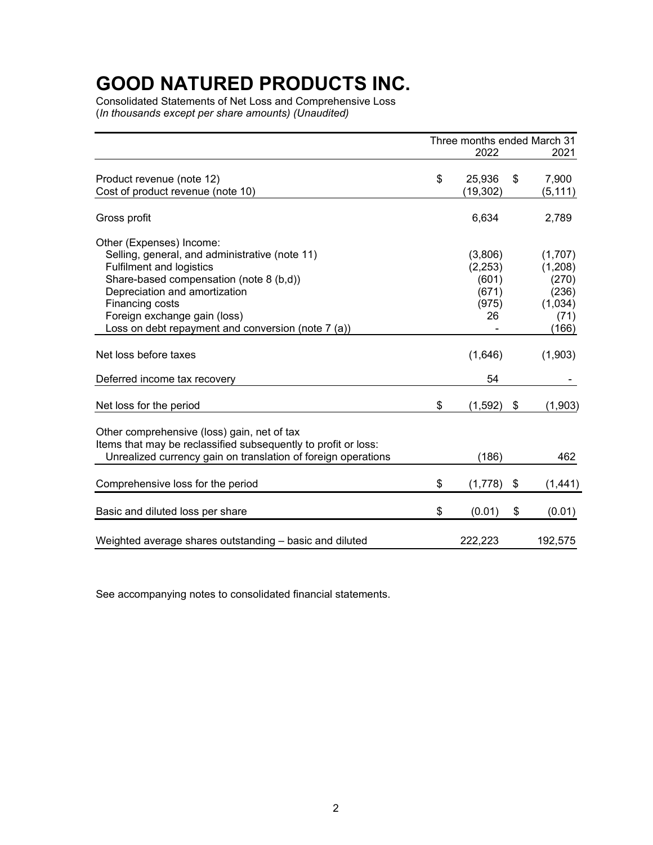Consolidated Statements of Net Loss and Comprehensive Loss (*In thousands except per share amounts) (Unaudited)*

|                                                                                                                                                                                                                                                                        | Three months ended March 31 |                                                     |    |                                                                  |  |  |  |
|------------------------------------------------------------------------------------------------------------------------------------------------------------------------------------------------------------------------------------------------------------------------|-----------------------------|-----------------------------------------------------|----|------------------------------------------------------------------|--|--|--|
|                                                                                                                                                                                                                                                                        |                             | 2022                                                |    | 2021                                                             |  |  |  |
| Product revenue (note 12)<br>Cost of product revenue (note 10)                                                                                                                                                                                                         | \$                          | 25,936<br>(19, 302)                                 | \$ | 7,900<br>(5, 111)                                                |  |  |  |
| Gross profit                                                                                                                                                                                                                                                           |                             | 6,634                                               |    | 2,789                                                            |  |  |  |
| Other (Expenses) Income:                                                                                                                                                                                                                                               |                             |                                                     |    |                                                                  |  |  |  |
| Selling, general, and administrative (note 11)<br><b>Fulfilment and logistics</b><br>Share-based compensation (note 8 (b,d))<br>Depreciation and amortization<br>Financing costs<br>Foreign exchange gain (loss)<br>Loss on debt repayment and conversion (note 7 (a)) |                             | (3,806)<br>(2,253)<br>(601)<br>(671)<br>(975)<br>26 |    | (1,707)<br>(1,208)<br>(270)<br>(236)<br>(1,034)<br>(71)<br>(166) |  |  |  |
| Net loss before taxes                                                                                                                                                                                                                                                  |                             | (1,646)                                             |    | (1,903)                                                          |  |  |  |
| Deferred income tax recovery                                                                                                                                                                                                                                           |                             | 54                                                  |    |                                                                  |  |  |  |
| Net loss for the period                                                                                                                                                                                                                                                | \$                          | (1,592)                                             | \$ | (1,903)                                                          |  |  |  |
| Other comprehensive (loss) gain, net of tax<br>Items that may be reclassified subsequently to profit or loss:<br>Unrealized currency gain on translation of foreign operations                                                                                         |                             | (186)                                               |    | 462                                                              |  |  |  |
| Comprehensive loss for the period                                                                                                                                                                                                                                      | \$                          | (1,778)                                             | \$ | (1, 441)                                                         |  |  |  |
| Basic and diluted loss per share                                                                                                                                                                                                                                       | \$                          | (0.01)                                              | \$ | (0.01)                                                           |  |  |  |
| Weighted average shares outstanding - basic and diluted                                                                                                                                                                                                                |                             | 222,223                                             |    | 192,575                                                          |  |  |  |

See accompanying notes to consolidated financial statements.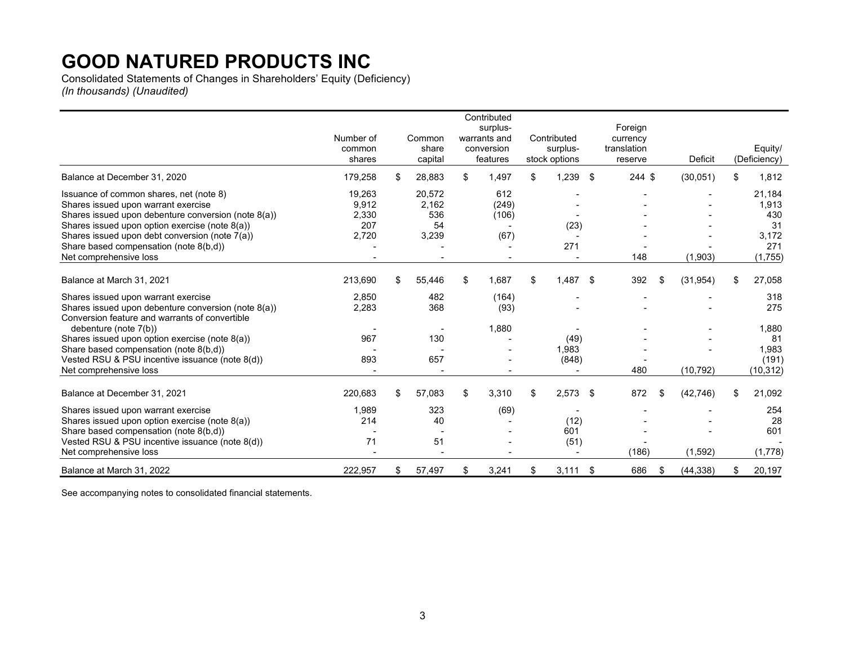Consolidated Statements of Changes in Shareholders' Equity (Deficiency) *(In thousands) (Unaudited)*

|                                                                                                                                                                                                                                                                                                               | Number of<br>common<br>shares            | Common<br>share<br>capital            | Contributed<br>surplus-<br>warrants and<br>conversion<br>features | Contributed<br>surplus-<br>stock options | Foreign<br>currency<br>translation<br>reserve | <b>Deficit</b>  | Equity/<br>(Deficiency)                                 |
|---------------------------------------------------------------------------------------------------------------------------------------------------------------------------------------------------------------------------------------------------------------------------------------------------------------|------------------------------------------|---------------------------------------|-------------------------------------------------------------------|------------------------------------------|-----------------------------------------------|-----------------|---------------------------------------------------------|
| Balance at December 31, 2020                                                                                                                                                                                                                                                                                  | 179,258                                  | \$<br>28,883                          | \$<br>1,497                                                       | \$<br>1,239<br>\$                        | 244 \$                                        | (30,051)        | \$<br>1,812                                             |
| Issuance of common shares, net (note 8)<br>Shares issued upon warrant exercise<br>Shares issued upon debenture conversion (note 8(a))<br>Shares issued upon option exercise (note 8(a))<br>Shares issued upon debt conversion (note 7(a))<br>Share based compensation (note 8(b,d))<br>Net comprehensive loss | 19,263<br>9,912<br>2,330<br>207<br>2,720 | 20.572<br>2,162<br>536<br>54<br>3,239 | 612<br>(249)<br>(106)<br>(67)                                     | (23)<br>271                              | 148                                           | (1,903)         | 21,184<br>1,913<br>430<br>31<br>3,172<br>271<br>(1,755) |
| Balance at March 31, 2021                                                                                                                                                                                                                                                                                     | 213,690                                  | \$<br>55,446                          | \$<br>1.687                                                       | \$<br>1,487<br>\$                        | 392                                           | \$<br>(31, 954) | \$<br>27,058                                            |
| Shares issued upon warrant exercise<br>Shares issued upon debenture conversion (note 8(a))<br>Conversion feature and warrants of convertible                                                                                                                                                                  | 2,850<br>2,283                           | 482<br>368                            | (164)<br>(93)                                                     |                                          |                                               |                 | 318<br>275                                              |
| debenture (note 7(b))                                                                                                                                                                                                                                                                                         |                                          | $\overline{\phantom{0}}$              | 1,880                                                             |                                          |                                               |                 | 1,880                                                   |
| Shares issued upon option exercise (note 8(a))<br>Share based compensation (note 8(b,d))<br>Vested RSU & PSU incentive issuance (note 8(d))<br>Net comprehensive loss                                                                                                                                         | 967<br>893                               | 130<br>657                            |                                                                   | (49)<br>1,983<br>(848)                   | 480                                           | (10, 792)       | 81<br>1,983<br>(191)<br>(10, 312)                       |
| Balance at December 31, 2021                                                                                                                                                                                                                                                                                  | 220,683                                  | \$<br>57,083                          | \$<br>3,310                                                       | \$<br>2,573<br>\$                        | 872                                           | \$<br>(42, 746) | \$<br>21,092                                            |
| Shares issued upon warrant exercise<br>Shares issued upon option exercise (note 8(a))<br>Share based compensation (note 8(b,d))<br>Vested RSU & PSU incentive issuance (note 8(d))<br>Net comprehensive loss                                                                                                  | 1,989<br>214<br>71                       | 323<br>40<br>51                       | (69)                                                              | (12)<br>601<br>(51)                      | (186)                                         | (1,592)         | 254<br>28<br>601<br>(1,778)                             |
| Balance at March 31, 2022                                                                                                                                                                                                                                                                                     | 222,957                                  | \$<br>57,497                          | \$<br>3,241                                                       | \$<br>3,111<br>\$                        | 686                                           | \$<br>(44, 338) | \$<br>20,197                                            |

See accompanying notes to consolidated financial statements.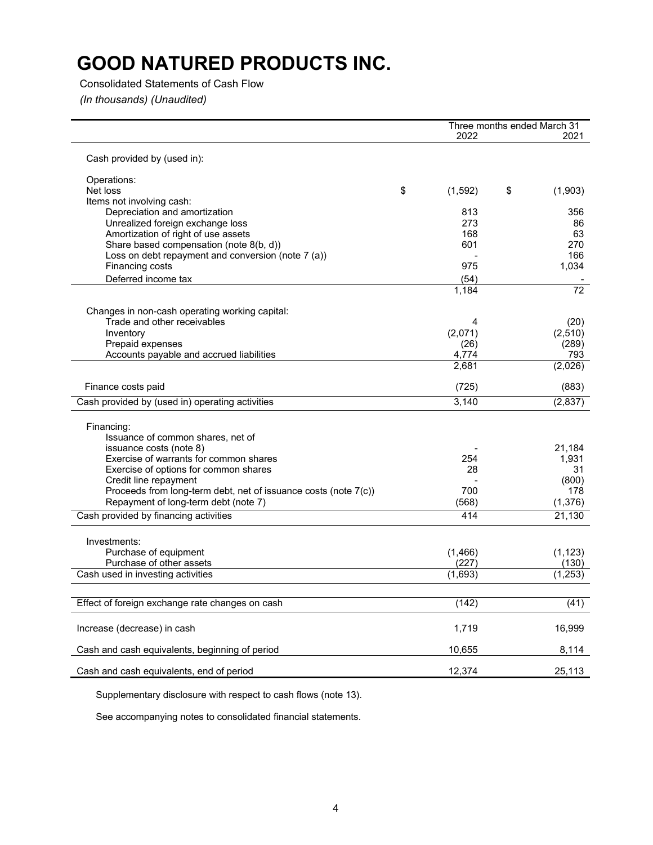### Consolidated Statements of Cash Flow

*(In thousands) (Unaudited)*

|                                                                   |               | Three months ended March 31 |
|-------------------------------------------------------------------|---------------|-----------------------------|
|                                                                   | 2022          | 2021                        |
| Cash provided by (used in):                                       |               |                             |
| Operations:                                                       |               |                             |
| Net loss                                                          | \$<br>(1,592) | \$<br>(1,903)               |
| Items not involving cash:                                         |               |                             |
| Depreciation and amortization                                     | 813           | 356                         |
| Unrealized foreign exchange loss                                  | 273           | 86                          |
| Amortization of right of use assets                               | 168           | 63                          |
| Share based compensation (note 8(b, d))                           | 601           | 270                         |
| Loss on debt repayment and conversion (note 7 (a))                |               | 166                         |
| Financing costs                                                   | 975           | 1,034                       |
| Deferred income tax                                               | (54)          |                             |
|                                                                   | 1,184         | $\overline{72}$             |
| Changes in non-cash operating working capital:                    |               |                             |
| Trade and other receivables                                       | 4             | (20)                        |
| Inventory                                                         | (2,071)       | (2,510)                     |
| Prepaid expenses                                                  | (26)          | (289)                       |
| Accounts payable and accrued liabilities                          | 4,774         | 793                         |
|                                                                   | 2,681         | (2,026)                     |
| Finance costs paid                                                | (725)         | (883)                       |
| Cash provided by (used in) operating activities                   | 3,140         | (2,837)                     |
| Financing:<br>Issuance of common shares, net of                   |               |                             |
| issuance costs (note 8)<br>Exercise of warrants for common shares | 254           | 21,184                      |
|                                                                   | 28            | 1,931                       |
| Exercise of options for common shares<br>Credit line repayment    |               | 31<br>(800)                 |
| Proceeds from long-term debt, net of issuance costs (note 7(c))   | 700           | 178                         |
| Repayment of long-term debt (note 7)                              | (568)         | (1,376)                     |
| Cash provided by financing activities                             | 414           | 21,130                      |
|                                                                   |               |                             |
| Investments:                                                      |               |                             |
| Purchase of equipment                                             | (1,466)       | (1, 123)                    |
| Purchase of other assets                                          | (227)         | (130)                       |
| Cash used in investing activities                                 | (1,693)       | (1, 253)                    |
|                                                                   |               |                             |
| Effect of foreign exchange rate changes on cash                   | (142)         | (41)                        |
| Increase (decrease) in cash                                       | 1,719         | 16,999                      |
| Cash and cash equivalents, beginning of period                    | 10,655        | 8,114                       |
| Cash and cash equivalents, end of period                          | 12,374        | 25,113                      |

Supplementary disclosure with respect to cash flows (note 13).

See accompanying notes to consolidated financial statements.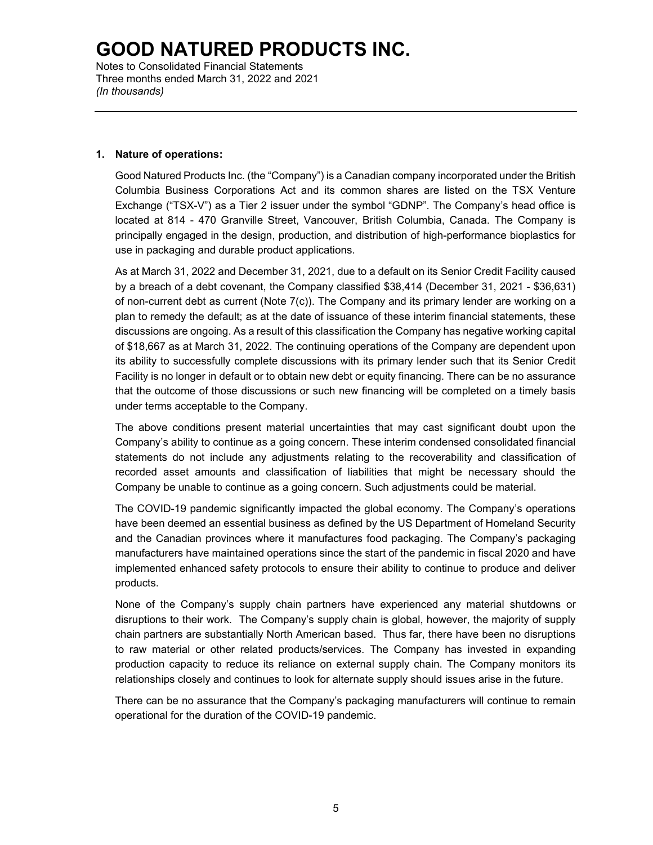Notes to Consolidated Financial Statements Three months ended March 31, 2022 and 2021 *(In thousands)*

#### **1. Nature of operations:**

Good Natured Products Inc. (the "Company") is a Canadian company incorporated under the British Columbia Business Corporations Act and its common shares are listed on the TSX Venture Exchange ("TSX-V") as a Tier 2 issuer under the symbol "GDNP". The Company's head office is located at 814 - 470 Granville Street, Vancouver, British Columbia, Canada. The Company is principally engaged in the design, production, and distribution of high-performance bioplastics for use in packaging and durable product applications.

As at March 31, 2022 and December 31, 2021, due to a default on its Senior Credit Facility caused by a breach of a debt covenant, the Company classified \$38,414 (December 31, 2021 - \$36,631) of non-current debt as current (Note 7(c)). The Company and its primary lender are working on a plan to remedy the default; as at the date of issuance of these interim financial statements, these discussions are ongoing. As a result of this classification the Company has negative working capital of \$18,667 as at March 31, 2022. The continuing operations of the Company are dependent upon its ability to successfully complete discussions with its primary lender such that its Senior Credit Facility is no longer in default or to obtain new debt or equity financing. There can be no assurance that the outcome of those discussions or such new financing will be completed on a timely basis under terms acceptable to the Company.

The above conditions present material uncertainties that may cast significant doubt upon the Company's ability to continue as a going concern. These interim condensed consolidated financial statements do not include any adjustments relating to the recoverability and classification of recorded asset amounts and classification of liabilities that might be necessary should the Company be unable to continue as a going concern. Such adjustments could be material.

The COVID-19 pandemic significantly impacted the global economy. The Company's operations have been deemed an essential business as defined by the US Department of Homeland Security and the Canadian provinces where it manufactures food packaging. The Company's packaging manufacturers have maintained operations since the start of the pandemic in fiscal 2020 and have implemented enhanced safety protocols to ensure their ability to continue to produce and deliver products.

None of the Company's supply chain partners have experienced any material shutdowns or disruptions to their work. The Company's supply chain is global, however, the majority of supply chain partners are substantially North American based. Thus far, there have been no disruptions to raw material or other related products/services. The Company has invested in expanding production capacity to reduce its reliance on external supply chain. The Company monitors its relationships closely and continues to look for alternate supply should issues arise in the future.

There can be no assurance that the Company's packaging manufacturers will continue to remain operational for the duration of the COVID-19 pandemic.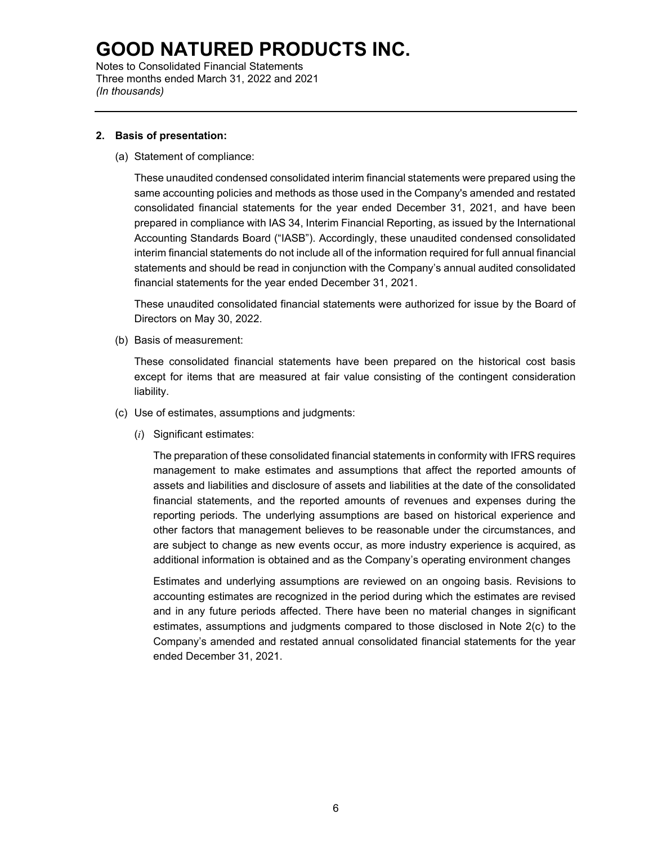Notes to Consolidated Financial Statements Three months ended March 31, 2022 and 2021 *(In thousands)*

### **2. Basis of presentation:**

(a) Statement of compliance:

These unaudited condensed consolidated interim financial statements were prepared using the same accounting policies and methods as those used in the Company's amended and restated consolidated financial statements for the year ended December 31, 2021, and have been prepared in compliance with IAS 34, Interim Financial Reporting, as issued by the International Accounting Standards Board ("IASB"). Accordingly, these unaudited condensed consolidated interim financial statements do not include all of the information required for full annual financial statements and should be read in conjunction with the Company's annual audited consolidated financial statements for the year ended December 31, 2021.

These unaudited consolidated financial statements were authorized for issue by the Board of Directors on May 30, 2022.

(b) Basis of measurement:

These consolidated financial statements have been prepared on the historical cost basis except for items that are measured at fair value consisting of the contingent consideration liability.

- (c) Use of estimates, assumptions and judgments:
	- (*i*) Significant estimates:

The preparation of these consolidated financial statements in conformity with IFRS requires management to make estimates and assumptions that affect the reported amounts of assets and liabilities and disclosure of assets and liabilities at the date of the consolidated financial statements, and the reported amounts of revenues and expenses during the reporting periods. The underlying assumptions are based on historical experience and other factors that management believes to be reasonable under the circumstances, and are subject to change as new events occur, as more industry experience is acquired, as additional information is obtained and as the Company's operating environment changes

Estimates and underlying assumptions are reviewed on an ongoing basis. Revisions to accounting estimates are recognized in the period during which the estimates are revised and in any future periods affected. There have been no material changes in significant estimates, assumptions and judgments compared to those disclosed in Note 2(c) to the Company's amended and restated annual consolidated financial statements for the year ended December 31, 2021.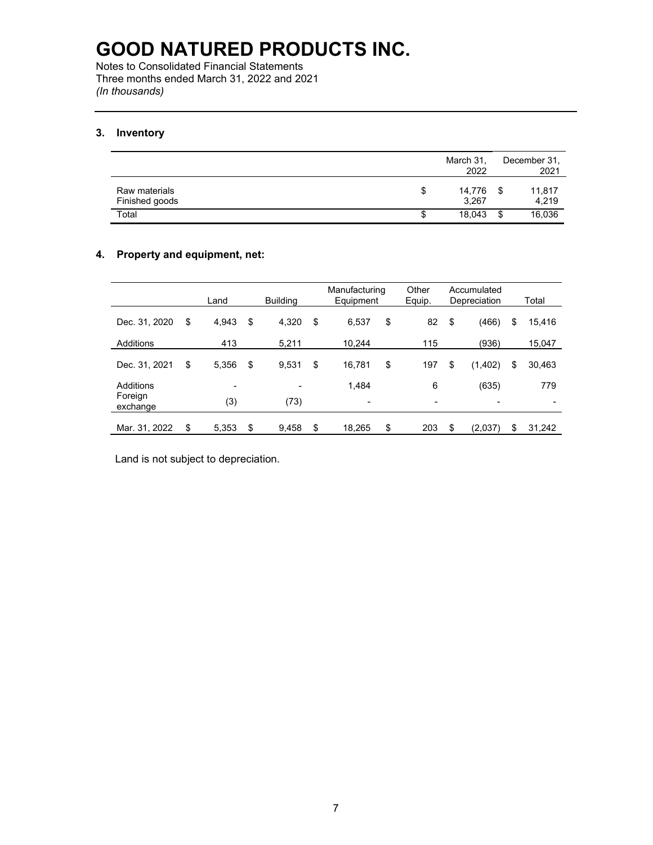Notes to Consolidated Financial Statements Three months ended March 31, 2022 and 2021 *(In thousands)*

### **3. Inventory**

|                                 |    | March 31,<br>2022 | December 31,<br>2021    |
|---------------------------------|----|-------------------|-------------------------|
| Raw materials<br>Finished goods | \$ | 14,776<br>3.267   | 11,817<br>- \$<br>4.219 |
| Total                           | S  | 18,043            | 16,036<br>\$            |

### **4. Property and equipment, net:**

|                     | Land        | <b>Building</b> | Manufacturing<br>Equipment |    | Other<br>Equip.          | Accumulated<br>Depreciation |                          |    | Total  |
|---------------------|-------------|-----------------|----------------------------|----|--------------------------|-----------------------------|--------------------------|----|--------|
| Dec. 31, 2020       | \$<br>4,943 | \$<br>4,320     | \$<br>6,537                | \$ | 82                       | \$                          | (466)                    | \$ | 15,416 |
| Additions           | 413         | 5.211           | 10.244                     |    | 115                      |                             | (936)                    |    | 15,047 |
| Dec. 31, 2021       | \$<br>5,356 | \$<br>9,531     | \$<br>16,781               | \$ | 197                      | \$                          | (1,402)                  | \$ | 30,463 |
| Additions           | -           | -               | 1.484                      |    | 6                        |                             | (635)                    |    | 779    |
| Foreign<br>exchange | (3)         | (73)            | $\overline{a}$             |    | $\overline{\phantom{0}}$ |                             | $\overline{\phantom{0}}$ |    | ٠      |
| Mar. 31, 2022       | \$<br>5.353 | \$<br>9.458     | \$<br>18.265               | \$ | 203                      | \$                          | (2.037)                  | S  | 31.242 |

Land is not subject to depreciation.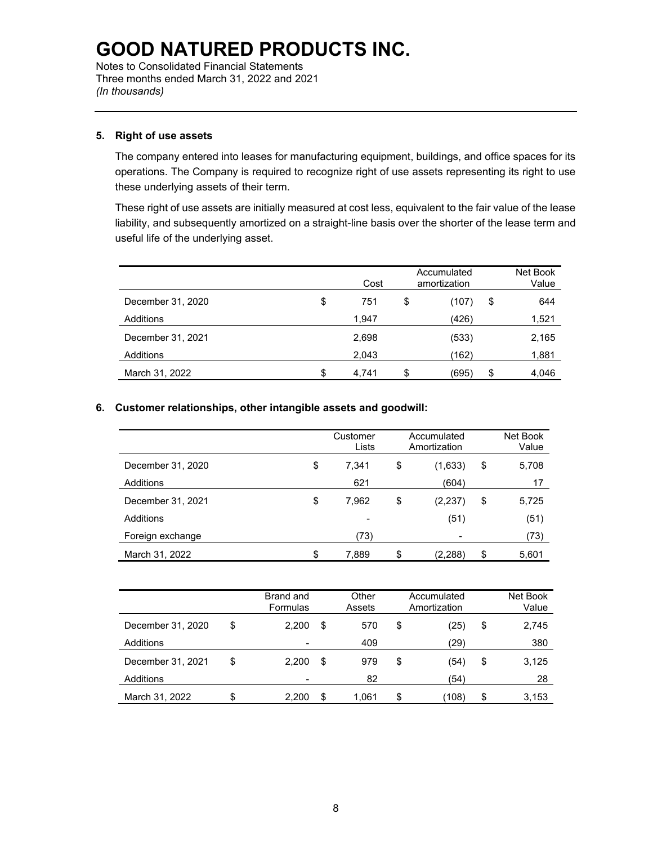Notes to Consolidated Financial Statements Three months ended March 31, 2022 and 2021 *(In thousands)*

### **5. Right of use assets**

The company entered into leases for manufacturing equipment, buildings, and office spaces for its operations. The Company is required to recognize right of use assets representing its right to use these underlying assets of their term.

These right of use assets are initially measured at cost less, equivalent to the fair value of the lease liability, and subsequently amortized on a straight-line basis over the shorter of the lease term and useful life of the underlying asset.

|                   | Cost        | Accumulated<br>amortization | Net Book<br>Value |
|-------------------|-------------|-----------------------------|-------------------|
| December 31, 2020 | \$<br>751   | \$<br>(107)                 | \$<br>644         |
| Additions         | 1,947       | (426)                       | 1,521             |
| December 31, 2021 | 2,698       | (533)                       | 2,165             |
| Additions         | 2,043       | (162)                       | 1,881             |
| March 31, 2022    | \$<br>4.741 | \$<br>(695)                 | \$<br>4,046       |

### **6. Customer relationships, other intangible assets and goodwill:**

|                   | Customer<br>Lists        | Accumulated<br>Amortization | Net Book<br>Value |
|-------------------|--------------------------|-----------------------------|-------------------|
| December 31, 2020 | \$<br>7,341              | \$<br>(1,633)               | \$<br>5,708       |
| Additions         | 621                      | (604)                       | 17                |
| December 31, 2021 | \$<br>7.962              | \$<br>(2, 237)              | \$<br>5,725       |
| Additions         | $\overline{\phantom{a}}$ | (51)                        | (51)              |
| Foreign exchange  | (73)                     |                             | (73)              |
| March 31, 2022    | \$<br>7,889              | \$<br>(2,288)               | \$<br>5,601       |

|                   | Brand and<br>Formulas |    | Other<br>Assets | Accumulated<br>Amortization |    | Net Book<br>Value |
|-------------------|-----------------------|----|-----------------|-----------------------------|----|-------------------|
| December 31, 2020 | \$<br>2.200           | \$ | 570             | \$<br>(25)                  | \$ | 2,745             |
| Additions         |                       |    | 409             | (29)                        |    | 380               |
| December 31, 2021 | \$<br>2.200           | \$ | 979             | \$<br>(54)                  | \$ | 3,125             |
| Additions         |                       |    | 82              | (54)                        |    | 28                |
| March 31, 2022    | \$<br>2.200           | S  | 1.061           | \$<br>(108)                 | S  | 3,153             |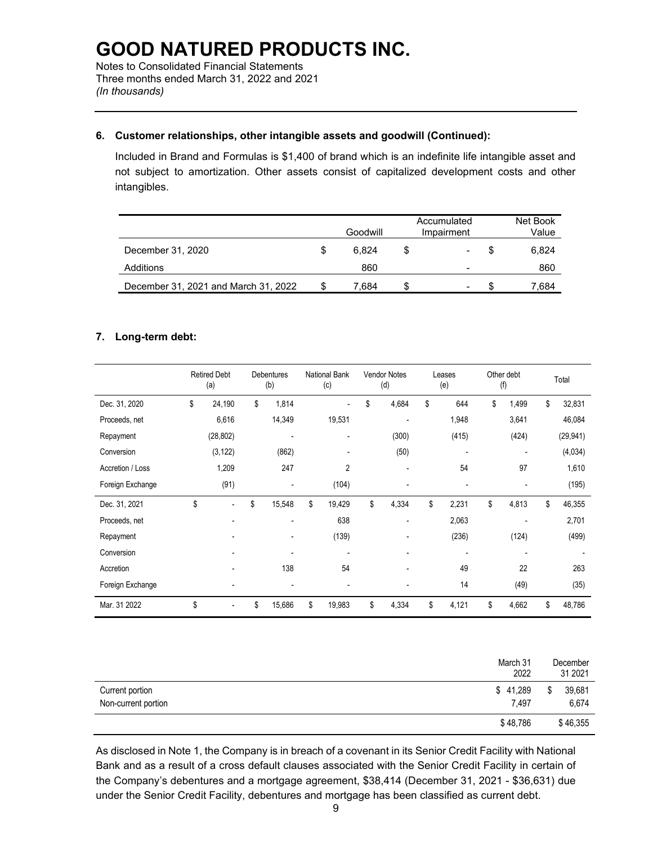Notes to Consolidated Financial Statements Three months ended March 31, 2022 and 2021 *(In thousands)*

### **6. Customer relationships, other intangible assets and goodwill (Continued):**

Included in Brand and Formulas is \$1,400 of brand which is an indefinite life intangible asset and not subject to amortization. Other assets consist of capitalized development costs and other intangibles.

|                                      |   | Goodwill |   | Accumulated<br>Impairment | Net Book<br>Value |
|--------------------------------------|---|----------|---|---------------------------|-------------------|
| December 31, 2020                    | S | 6.824    | S |                           | 6,824             |
| Additions                            |   | 860      |   | -                         | 860               |
| December 31, 2021 and March 31, 2022 |   | 7.684    | S | -                         | 7.684             |

### **7. Long-term debt:**

|                  | <b>Retired Debt</b><br>(a)     | Debentures<br>(b)        | <b>National Bank</b><br>(c) | <b>Vendor Notes</b><br>(d) | Leases<br>(e)            | Other debt<br>(f)        | Total        |
|------------------|--------------------------------|--------------------------|-----------------------------|----------------------------|--------------------------|--------------------------|--------------|
| Dec. 31, 2020    | \$<br>24,190                   | \$<br>1,814              |                             | \$<br>4,684                | \$<br>644                | \$<br>1,499              | \$<br>32,831 |
| Proceeds, net    | 6,616                          | 14,349                   | 19,531                      | ٠                          | 1,948                    | 3,641                    | 46,084       |
| Repayment        | (28, 802)                      |                          | ٠                           | (300)                      | (415)                    | (424)                    | (29, 941)    |
| Conversion       | (3, 122)                       | (862)                    | $\overline{\phantom{a}}$    | (50)                       | $\overline{\phantom{a}}$ |                          | (4,034)      |
| Accretion / Loss | 1,209                          | 247                      | 2                           | $\blacksquare$             | 54                       | 97                       | 1,610        |
| Foreign Exchange | (91)                           |                          | (104)                       |                            |                          |                          | (195)        |
| Dec. 31, 2021    | \$<br>$\overline{\phantom{a}}$ | \$<br>15,548             | \$<br>19,429                | \$<br>4,334                | \$<br>2,231              | \$<br>4,813              | \$<br>46,355 |
| Proceeds, net    | ٠                              | ٠                        | 638                         | $\blacksquare$             | 2,063                    |                          | 2,701        |
| Repayment        |                                |                          | (139)                       |                            | (236)                    | (124)                    | (499)        |
| Conversion       |                                | $\overline{\phantom{a}}$ | ٠                           | $\overline{\phantom{a}}$   | $\overline{\phantom{a}}$ | $\overline{\phantom{0}}$ |              |
| Accretion        |                                | 138                      | 54                          |                            | 49                       | 22                       | 263          |
| Foreign Exchange |                                |                          |                             |                            | 14                       | (49)                     | (35)         |
| Mar. 31 2022     | \$                             | \$<br>15,686             | \$<br>19,983                | \$<br>4,334                | \$<br>4,121              | \$<br>4,662              | \$<br>48,786 |

|                                        | March 31<br>2022  | December<br>31 2021   |
|----------------------------------------|-------------------|-----------------------|
| Current portion<br>Non-current portion | \$41,289<br>7.497 | \$<br>39,681<br>6.674 |
|                                        | \$48,786          | \$46,355              |

As disclosed in Note 1, the Company is in breach of a covenant in its Senior Credit Facility with National Bank and as a result of a cross default clauses associated with the Senior Credit Facility in certain of the Company's debentures and a mortgage agreement, \$38,414 (December 31, 2021 - \$36,631) due under the Senior Credit Facility, debentures and mortgage has been classified as current debt.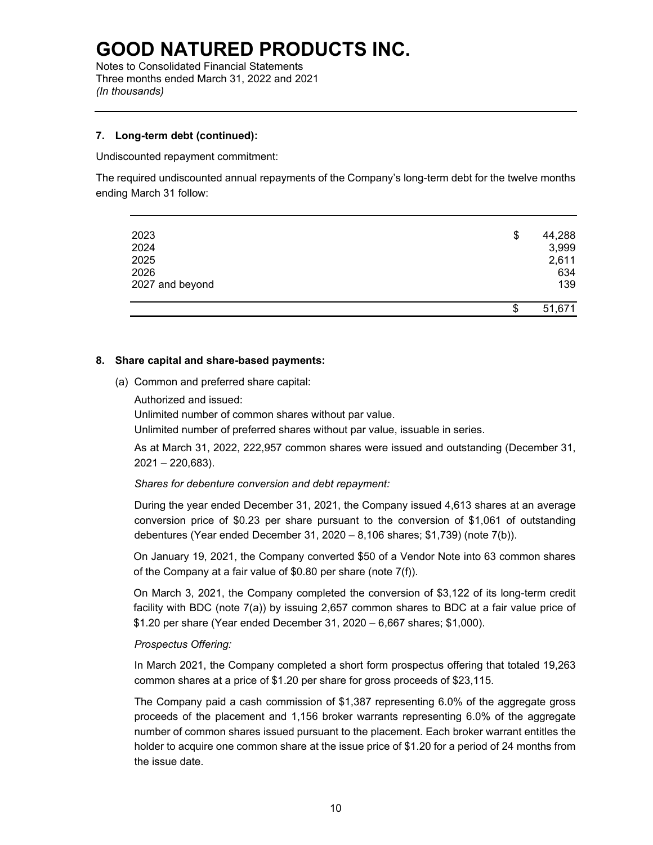Notes to Consolidated Financial Statements Three months ended March 31, 2022 and 2021 *(In thousands)*

### **7. Long-term debt (continued):**

Undiscounted repayment commitment:

The required undiscounted annual repayments of the Company's long-term debt for the twelve months ending March 31 follow:

| 2023            | \$<br>44,288 |
|-----------------|--------------|
| 2024            | 3,999        |
| 2025            | 2,611        |
| 2026            | 634          |
| 2027 and beyond | 139          |
|                 | \$<br>51,671 |

### **8. Share capital and share-based payments:**

- (a) Common and preferred share capital:
	- Authorized and issued:

Unlimited number of common shares without par value.

Unlimited number of preferred shares without par value, issuable in series.

As at March 31, 2022, 222,957 common shares were issued and outstanding (December 31, 2021 – 220,683).

*Shares for debenture conversion and debt repayment:*

During the year ended December 31, 2021, the Company issued 4,613 shares at an average conversion price of \$0.23 per share pursuant to the conversion of \$1,061 of outstanding debentures (Year ended December 31, 2020 – 8,106 shares; \$1,739) (note 7(b)).

On January 19, 2021, the Company converted \$50 of a Vendor Note into 63 common shares of the Company at a fair value of \$0.80 per share (note 7(f)).

On March 3, 2021, the Company completed the conversion of \$3,122 of its long-term credit facility with BDC (note 7(a)) by issuing 2,657 common shares to BDC at a fair value price of \$1.20 per share (Year ended December 31, 2020 – 6,667 shares; \$1,000).

#### *Prospectus Offering:*

In March 2021, the Company completed a short form prospectus offering that totaled 19,263 common shares at a price of \$1.20 per share for gross proceeds of \$23,115.

The Company paid a cash commission of \$1,387 representing 6.0% of the aggregate gross proceeds of the placement and 1,156 broker warrants representing 6.0% of the aggregate number of common shares issued pursuant to the placement. Each broker warrant entitles the holder to acquire one common share at the issue price of \$1.20 for a period of 24 months from the issue date.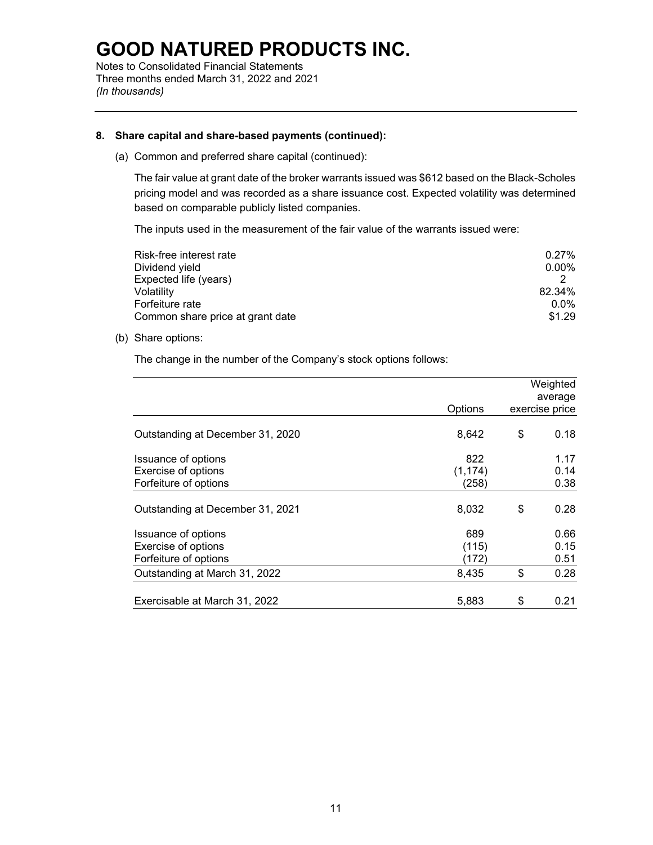Notes to Consolidated Financial Statements Three months ended March 31, 2022 and 2021 *(In thousands)*

#### **8. Share capital and share-based payments (continued):**

(a) Common and preferred share capital (continued):

The fair value at grant date of the broker warrants issued was \$612 based on the Black-Scholes pricing model and was recorded as a share issuance cost. Expected volatility was determined based on comparable publicly listed companies.

The inputs used in the measurement of the fair value of the warrants issued were:

| Risk-free interest rate          | $0.27\%$ |
|----------------------------------|----------|
| Dividend yield                   | $0.00\%$ |
| Expected life (years)            |          |
| Volatility                       | 82.34%   |
| Forfeiture rate                  | $0.0\%$  |
| Common share price at grant date | \$1.29   |

#### (b) Share options:

The change in the number of the Company's stock options follows:

|                                  |          | Weighted<br>average |
|----------------------------------|----------|---------------------|
|                                  | Options  | exercise price      |
| Outstanding at December 31, 2020 | 8,642    | \$<br>0.18          |
| Issuance of options              | 822      | 1.17                |
| Exercise of options              | (1, 174) | 0.14                |
| Forfeiture of options            | (258)    | 0.38                |
| Outstanding at December 31, 2021 | 8,032    | \$<br>0.28          |
| Issuance of options              | 689      | 0.66                |
| Exercise of options              | (115)    | 0.15                |
| Forfeiture of options            | (172)    | 0.51                |
| Outstanding at March 31, 2022    | 8,435    | \$<br>0.28          |
| Exercisable at March 31, 2022    | 5,883    | \$<br>0.21          |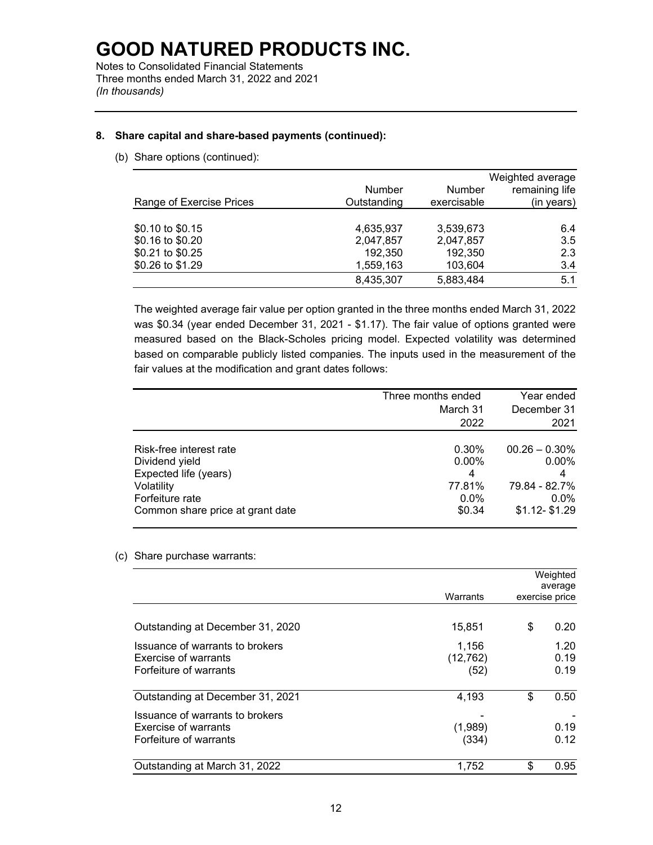Notes to Consolidated Financial Statements Three months ended March 31, 2022 and 2021 *(In thousands)*

### **8. Share capital and share-based payments (continued):**

(b) Share options (continued):

|                          |             |             | Weighted average |
|--------------------------|-------------|-------------|------------------|
|                          | Number      | Number      | remaining life   |
| Range of Exercise Prices | Outstanding | exercisable | (in years)       |
|                          |             |             |                  |
| \$0.10 to \$0.15         | 4,635,937   | 3,539,673   | 6.4              |
| \$0.16 to \$0.20         | 2,047,857   | 2,047,857   | 3.5              |
| \$0.21 to \$0.25         | 192,350     | 192,350     | 2.3              |
| \$0.26 to \$1.29         | 1,559,163   | 103,604     | 3.4              |
|                          | 8,435,307   | 5,883,484   | 5.1              |

The weighted average fair value per option granted in the three months ended March 31, 2022 was \$0.34 (year ended December 31, 2021 - \$1.17). The fair value of options granted were measured based on the Black-Scholes pricing model. Expected volatility was determined based on comparable publicly listed companies. The inputs used in the measurement of the fair values at the modification and grant dates follows:

|                                  | Three months ended | Year ended       |
|----------------------------------|--------------------|------------------|
|                                  | March 31           | December 31      |
|                                  | 2022               | 2021             |
|                                  |                    |                  |
| Risk-free interest rate          | 0.30%              | $00.26 - 0.30\%$ |
| Dividend yield                   | 0.00%              | $0.00\%$         |
| Expected life (years)            | 4                  |                  |
| Volatility                       | 77.81%             | 79.84 - 82.7%    |
| Forfeiture rate                  | $0.0\%$            | $0.0\%$          |
| Common share price at grant date | \$0.34             | $$1.12 - $1.29$  |

#### (c) Share purchase warrants:

|                                                                    |                            | Weighted<br>average  |
|--------------------------------------------------------------------|----------------------------|----------------------|
| Issuance of warrants to brokers<br>Issuance of warrants to brokers | Warrants                   | exercise price       |
| Outstanding at December 31, 2020                                   | 15,851                     | \$<br>0.20           |
| Exercise of warrants<br>Forfeiture of warrants                     | 1,156<br>(12, 762)<br>(52) | 1.20<br>0.19<br>0.19 |
| Outstanding at December 31, 2021                                   | 4,193                      | \$<br>0.50           |
| Exercise of warrants<br>Forfeiture of warrants                     | (1,989)<br>(334)           | 0.19<br>0.12         |
| Outstanding at March 31, 2022                                      | 1,752                      | \$<br>0.95           |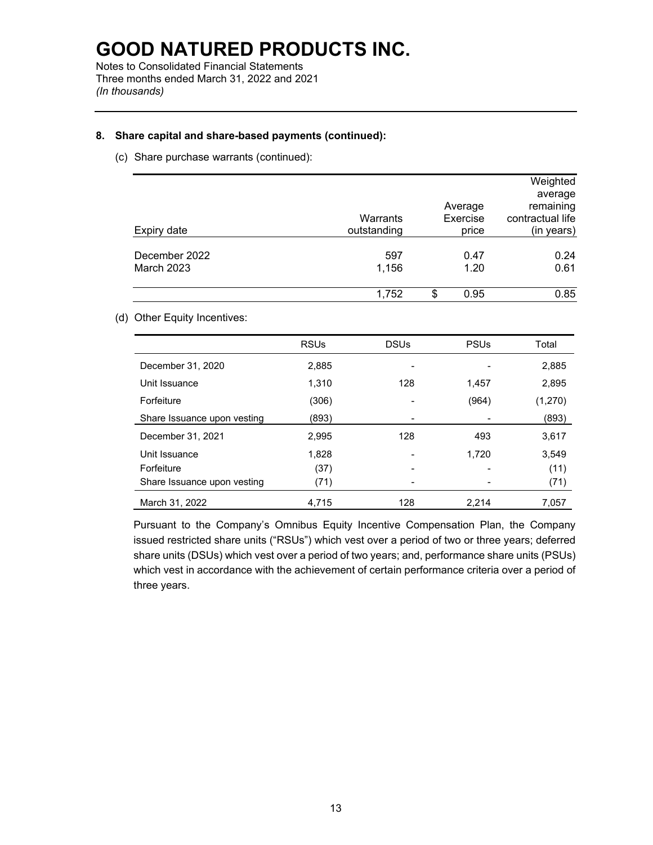Notes to Consolidated Financial Statements Three months ended March 31, 2022 and 2021 *(In thousands)*

### **8. Share capital and share-based payments (continued):**

(c) Share purchase warrants (continued):

| Expiry date                        | Warrants<br>outstanding | Average<br>Exercise<br>price | Weighted<br>average<br>remaining<br>contractual life<br>(in years) |
|------------------------------------|-------------------------|------------------------------|--------------------------------------------------------------------|
| December 2022<br><b>March 2023</b> | 597<br>1,156            | 0.47<br>1.20                 | 0.24<br>0.61                                                       |
|                                    | 1,752                   | \$<br>0.95                   | 0.85                                                               |

#### (d) Other Equity Incentives:

|                             | <b>RSUs</b> | <b>DSUs</b> | <b>PSUs</b> | Total   |
|-----------------------------|-------------|-------------|-------------|---------|
| December 31, 2020           | 2,885       |             |             | 2,885   |
| Unit Issuance               | 1,310       | 128         | 1,457       | 2,895   |
| Forfeiture                  | (306)       |             | (964)       | (1,270) |
| Share Issuance upon vesting | (893)       |             |             | (893)   |
| December 31, 2021           | 2,995       | 128         | 493         | 3,617   |
| Unit Issuance               | 1,828       |             | 1,720       | 3,549   |
| Forfeiture                  | (37)        |             |             | (11)    |
| Share Issuance upon vesting | (71)        |             |             | (71)    |
| March 31, 2022              | 4,715       | 128         | 2.214       | 7.057   |

Pursuant to the Company's Omnibus Equity Incentive Compensation Plan, the Company issued restricted share units ("RSUs") which vest over a period of two or three years; deferred share units (DSUs) which vest over a period of two years; and, performance share units (PSUs) which vest in accordance with the achievement of certain performance criteria over a period of three years.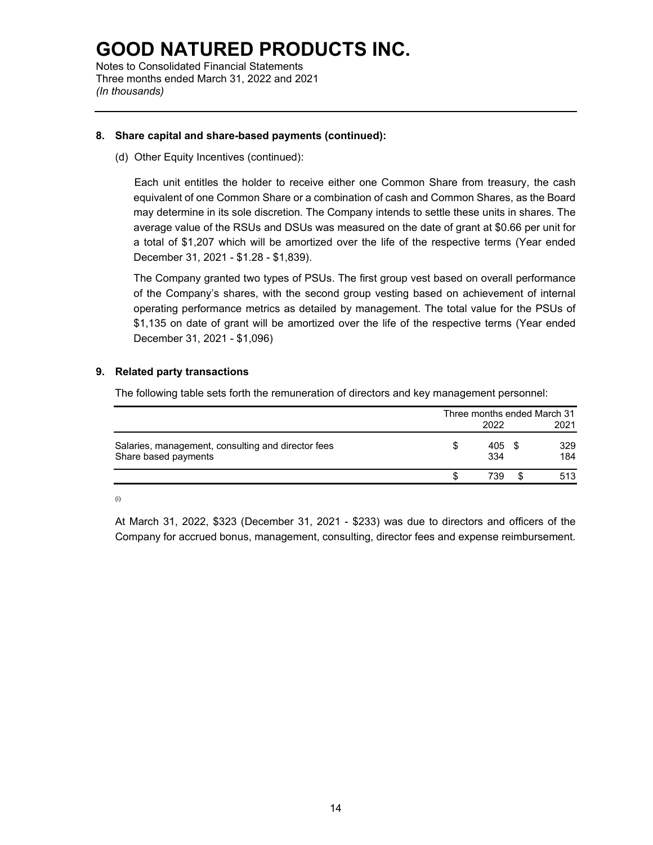Notes to Consolidated Financial Statements Three months ended March 31, 2022 and 2021 *(In thousands)*

#### **8. Share capital and share-based payments (continued):**

(d) Other Equity Incentives (continued):

Each unit entitles the holder to receive either one Common Share from treasury, the cash equivalent of one Common Share or a combination of cash and Common Shares, as the Board may determine in its sole discretion. The Company intends to settle these units in shares. The average value of the RSUs and DSUs was measured on the date of grant at \$0.66 per unit for a total of \$1,207 which will be amortized over the life of the respective terms (Year ended December 31, 2021 - \$1.28 - \$1,839).

The Company granted two types of PSUs. The first group vest based on overall performance of the Company's shares, with the second group vesting based on achievement of internal operating performance metrics as detailed by management. The total value for the PSUs of \$1,135 on date of grant will be amortized over the life of the respective terms (Year ended December 31, 2021 - \$1,096)

#### **9. Related party transactions**

The following table sets forth the remuneration of directors and key management personnel:

|                                                                            | Three months ended March 31<br>2022 |            |  |            |  |  |
|----------------------------------------------------------------------------|-------------------------------------|------------|--|------------|--|--|
| Salaries, management, consulting and director fees<br>Share based payments |                                     | 405<br>334 |  | 329<br>184 |  |  |
|                                                                            |                                     | 739.       |  | 513        |  |  |

(i)

At March 31, 2022, \$323 (December 31, 2021 - \$233) was due to directors and officers of the Company for accrued bonus, management, consulting, director fees and expense reimbursement.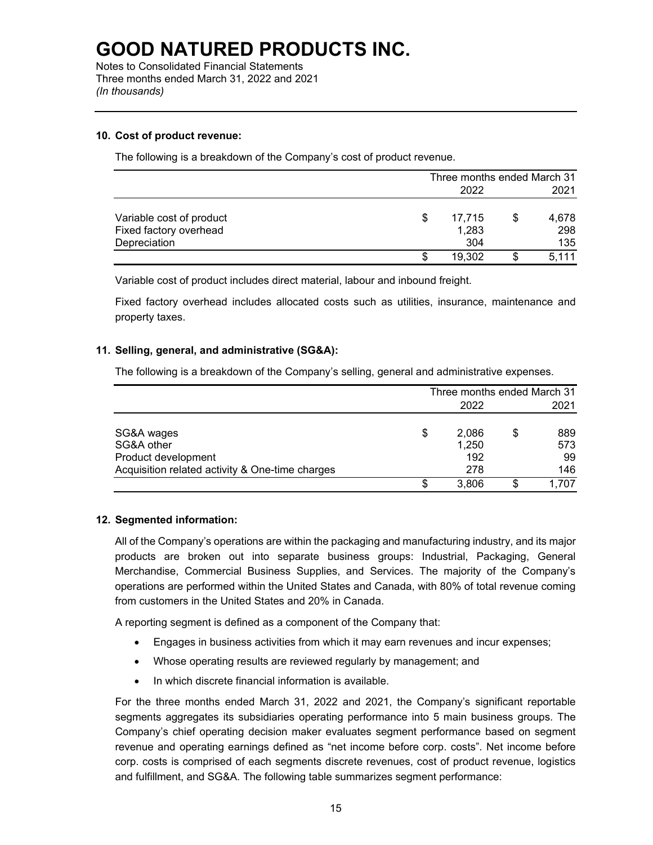Notes to Consolidated Financial Statements Three months ended March 31, 2022 and 2021 *(In thousands)*

#### **10. Cost of product revenue:**

The following is a breakdown of the Company's cost of product revenue.

|                                                    |   | Three months ended March 31 |  |              |  |  |
|----------------------------------------------------|---|-----------------------------|--|--------------|--|--|
|                                                    |   | 2022                        |  |              |  |  |
| Variable cost of product<br>Fixed factory overhead | S | 17,715<br>1,283             |  | 4,678<br>298 |  |  |
| Depreciation                                       |   | 304                         |  | 135          |  |  |
|                                                    | S | 19.302                      |  | 5,111        |  |  |

Variable cost of product includes direct material, labour and inbound freight.

Fixed factory overhead includes allocated costs such as utilities, insurance, maintenance and property taxes.

#### **11. Selling, general, and administrative (SG&A):**

The following is a breakdown of the Company's selling, general and administrative expenses.

|                                                 | Three months ended March 31 |       |      |      |  |  |
|-------------------------------------------------|-----------------------------|-------|------|------|--|--|
|                                                 |                             |       | 2021 |      |  |  |
| SG&A wages                                      | \$                          | 2,086 |      | 889  |  |  |
| SG&A other                                      |                             | 1,250 |      | 573  |  |  |
| Product development                             |                             | 192   |      | 99   |  |  |
| Acquisition related activity & One-time charges |                             | 278   |      | 146  |  |  |
|                                                 | S                           | 3.806 | \$   | .707 |  |  |

#### **12. Segmented information:**

All of the Company's operations are within the packaging and manufacturing industry, and its major products are broken out into separate business groups: Industrial, Packaging, General Merchandise, Commercial Business Supplies, and Services. The majority of the Company's operations are performed within the United States and Canada, with 80% of total revenue coming from customers in the United States and 20% in Canada.

A reporting segment is defined as a component of the Company that:

- Engages in business activities from which it may earn revenues and incur expenses;
- Whose operating results are reviewed regularly by management; and
- In which discrete financial information is available.

For the three months ended March 31, 2022 and 2021, the Company's significant reportable segments aggregates its subsidiaries operating performance into 5 main business groups. The Company's chief operating decision maker evaluates segment performance based on segment revenue and operating earnings defined as "net income before corp. costs". Net income before corp. costs is comprised of each segments discrete revenues, cost of product revenue, logistics and fulfillment, and SG&A. The following table summarizes segment performance: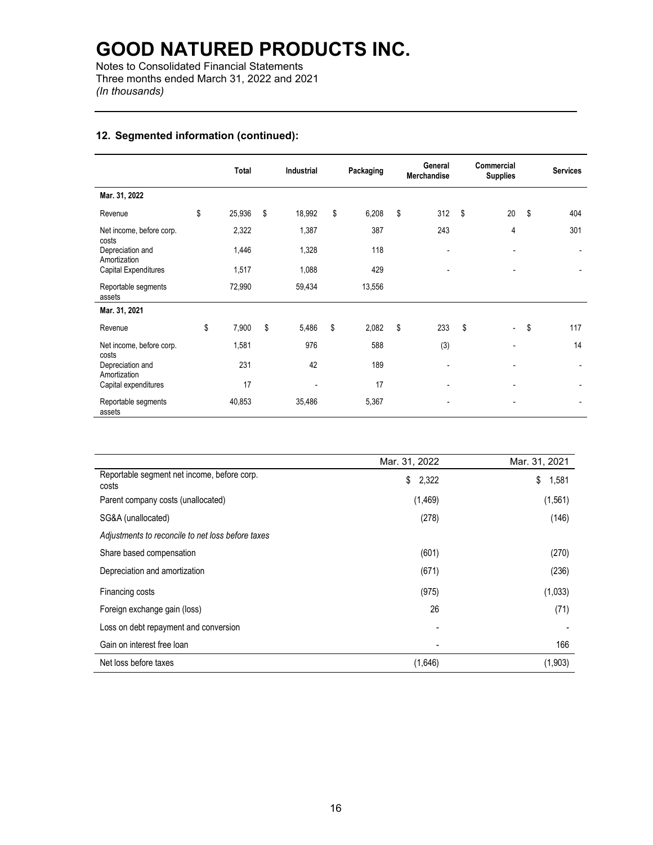Notes to Consolidated Financial Statements Three months ended March 31, 2022 and 2021 *(In thousands)*

### **12. Segmented information (continued):**

|                                   | <b>Total</b> | <b>Industrial</b> | Packaging   | General<br><b>Merchandise</b> | Commercial<br><b>Supplies</b>  | <b>Services</b> |
|-----------------------------------|--------------|-------------------|-------------|-------------------------------|--------------------------------|-----------------|
| Mar. 31, 2022                     |              |                   |             |                               |                                |                 |
| Revenue                           | \$<br>25,936 | \$<br>18,992      | \$<br>6,208 | \$<br>312                     | \$<br>20                       | \$<br>404       |
| Net income, before corp.<br>costs | 2,322        | 1,387             | 387         | 243                           | 4                              | 301             |
| Depreciation and<br>Amortization  | 1,446        | 1,328             | 118         | $\blacksquare$                |                                |                 |
| Capital Expenditures              | 1,517        | 1,088             | 429         |                               |                                |                 |
| Reportable segments<br>assets     | 72,990       | 59,434            | 13,556      |                               |                                |                 |
| Mar. 31, 2021                     |              |                   |             |                               |                                |                 |
| Revenue                           | \$<br>7,900  | \$<br>5,486       | \$<br>2,082 | \$<br>233                     | \$<br>$\overline{\phantom{0}}$ | \$<br>117       |
| Net income, before corp.<br>costs | 1,581        | 976               | 588         | (3)                           | $\overline{\phantom{a}}$       | 14              |
| Depreciation and<br>Amortization  | 231          | 42                | 189         |                               |                                |                 |
| Capital expenditures              | 17           |                   | 17          |                               |                                |                 |
| Reportable segments<br>assets     | 40,853       | 35,486            | 5,367       | $\overline{\phantom{a}}$      | $\overline{\phantom{a}}$       |                 |

|                                                      | Mar. 31, 2022 | Mar. 31, 2021 |
|------------------------------------------------------|---------------|---------------|
| Reportable segment net income, before corp.<br>costs | \$<br>2,322   | \$<br>1,581   |
| Parent company costs (unallocated)                   | (1, 469)      | (1,561)       |
| SG&A (unallocated)                                   | (278)         | (146)         |
| Adjustments to reconcile to net loss before taxes    |               |               |
| Share based compensation                             | (601)         | (270)         |
| Depreciation and amortization                        | (671)         | (236)         |
| Financing costs                                      | (975)         | (1,033)       |
| Foreign exchange gain (loss)                         | 26            | (71)          |
| Loss on debt repayment and conversion                |               |               |
| Gain on interest free loan                           |               | 166           |
| Net loss before taxes                                | (1,646)       | (1,903)       |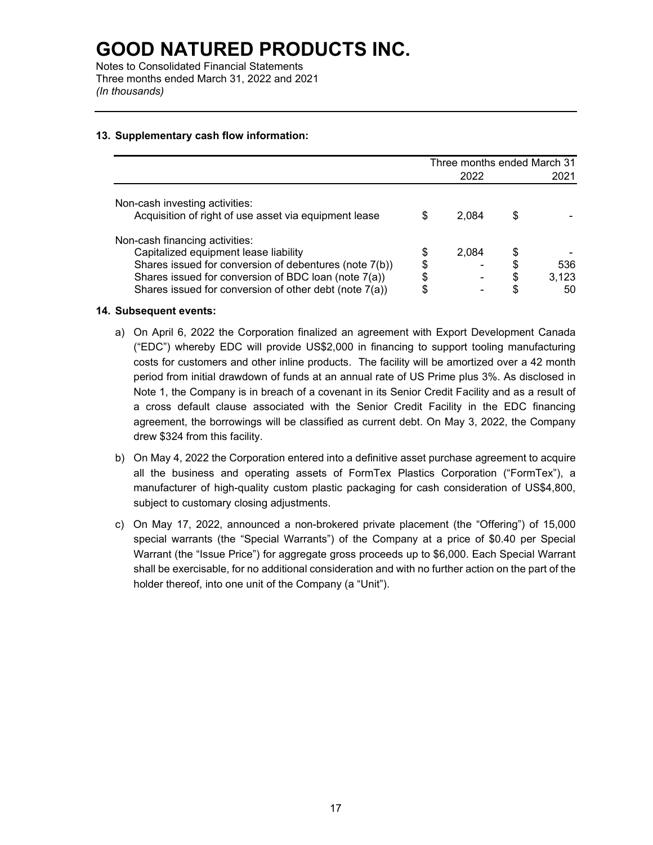Notes to Consolidated Financial Statements Three months ended March 31, 2022 and 2021 *(In thousands)*

### **13. Supplementary cash flow information:**

|                                                        | Three months ended March 31 |       |   |       |
|--------------------------------------------------------|-----------------------------|-------|---|-------|
|                                                        |                             | 2022  |   | 2021  |
| Non-cash investing activities:                         |                             |       |   |       |
| Acquisition of right of use asset via equipment lease  | S                           | 2.084 | S |       |
| Non-cash financing activities:                         |                             |       |   |       |
| Capitalized equipment lease liability                  | \$                          | 2,084 |   |       |
| Shares issued for conversion of debentures (note 7(b)) | \$                          |       | S | 536   |
| Shares issued for conversion of BDC loan (note 7(a))   | \$                          |       |   | 3,123 |
| Shares issued for conversion of other debt (note 7(a)) | S                           |       |   | 50    |

#### **14. Subsequent events:**

- a) On April 6, 2022 the Corporation finalized an agreement with Export Development Canada ("EDC") whereby EDC will provide US\$2,000 in financing to support tooling manufacturing costs for customers and other inline products. The facility will be amortized over a 42 month period from initial drawdown of funds at an annual rate of US Prime plus 3%. As disclosed in Note 1, the Company is in breach of a covenant in its Senior Credit Facility and as a result of a cross default clause associated with the Senior Credit Facility in the EDC financing agreement, the borrowings will be classified as current debt. On May 3, 2022, the Company drew \$324 from this facility.
- b) On May 4, 2022 the Corporation entered into a definitive asset purchase agreement to acquire all the business and operating assets of FormTex Plastics Corporation ("FormTex"), a manufacturer of high-quality custom plastic packaging for cash consideration of US\$4,800, subject to customary closing adjustments.
- c) On May 17, 2022, announced a non-brokered private placement (the "Offering") of 15,000 special warrants (the "Special Warrants") of the Company at a price of \$0.40 per Special Warrant (the "Issue Price") for aggregate gross proceeds up to \$6,000. Each Special Warrant shall be exercisable, for no additional consideration and with no further action on the part of the holder thereof, into one unit of the Company (a "Unit").